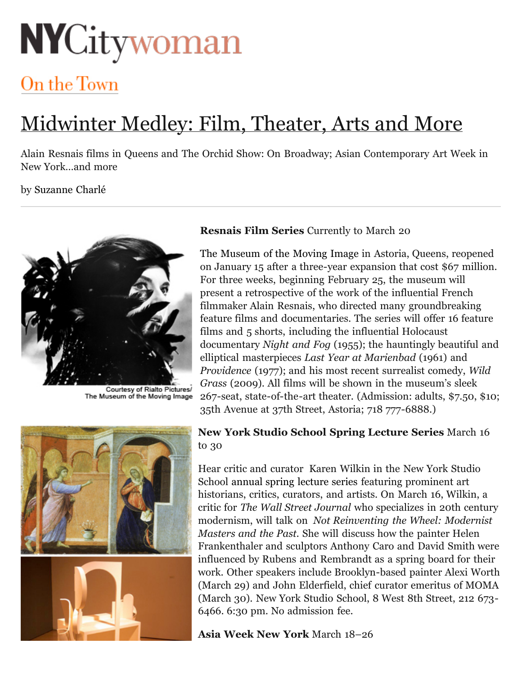# **NYCitywoman**

## On the Town

## Midwinter Medley: Film, Theater, Arts and More

Alain Resnais films in Queens and The Orchid Show: On Broadway; Asian Contemporary Art Week in New York…and more

#### by [Suzanne Charlé](http://nycitywoman.com/contributors/suzanne-charl%C3%A9)



Courtesy of Rialto Pictures/<br>The Museum of the Moving Image

#### **Resnais Film Series** Currently to March 20

[The Museum of the Moving Image](http://www.movingimage.us/) in Astoria, Queens, reopened on January 15 after a three-year expansion that cost \$67 million. For three weeks, beginning February 25, the museum will present a retrospective of the work of the influential French filmmaker Alain Resnais, who directed many groundbreaking feature films and documentaries. The series will offer 16 feature films and 5 shorts, including the influential Holocaust documentary *Night and Fog* (1955); the hauntingly beautiful and elliptical masterpieces *Last Year at Marienbad* (1961) and *Providence* (1977); and his most recent surrealist comedy, *Wild Grass* (2009). All films will be shown in the museum's sleek 267-seat, state-of-the-art theater. (Admission: adults, \$7.50, \$10; 35th Avenue at 37th Street, Astoria; 718 777-6888.)

#### **New York Studio School Spring Lecture Series** March 16 to 30

Hear critic and curator Karen Wilkin in the New York Studio School [annual spring lecture series](http://www.nyss.org/lectures/spring-2011/) featuring prominent art historians, critics, curators, and artists. On March 16, Wilkin, a critic for *The Wall Street Journal* who specializes in 20th century modernism, will talk on *Not Reinventing the Wheel: Modernist Masters and the Past.* She will discuss how the painter Helen Frankenthaler and sculptors Anthony Caro and David Smith were influenced by Rubens and Rembrandt as a spring board for their work. Other speakers include Brooklyn-based painter Alexi Worth (March 29) and John Elderfield, chief curator emeritus of MOMA (March 30). New York Studio School, 8 West 8th Street, 212 673- 6466. 6:30 pm. No admission fee.

### **Asia Week New York** March 18–26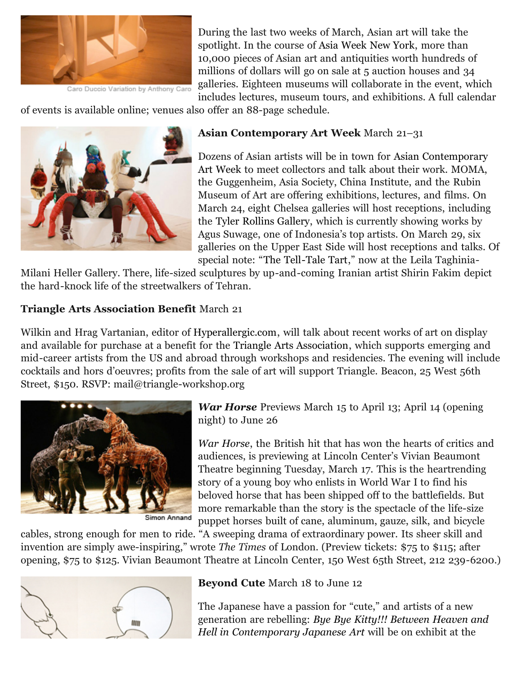

Caro Duccio Variation by Anthony Caro

During the last two weeks of March, Asian art will take the spotlight. In the course of [Asia Week New York,](http://www.asiaweekny.com/Calendar/18.html) more than 10,000 pieces of Asian art and antiquities worth hundreds of millions of dollars will go on sale at 5 auction houses and 34 galleries. Eighteen museums will collaborate in the event, which includes lectures, museum tours, and exhibitions. A full calendar

of events is available online; venues also offer an 88-page schedule.



#### **Asian Contemporary Art Week** March 21–31

[Dozens of Asian artists will be in town for Asian Contemporary](http://acaw.net/acaw2011/) Art Week to meet collectors and talk about their work. MOMA, the Guggenheim, Asia Society, China Institute, and the Rubin Museum of Art are offering exhibitions, lectures, and films. On March 24, eight Chelsea galleries will host receptions, including the [Tyler Rollins Gallery,](http://www.trfineart.com/artists/16) which is currently showing works by Agus Suwage, one of Indonesia's top artists. On March 29, six galleries on the Upper East Side will host receptions and talks. Of special note: "[The Tell-Tale Tart](http://www.ltmhgallery.com/exhibitions/2011-02-25_shirin-fakhim/)," now at the Leila Taghinia-

Milani Heller Gallery. There, life-sized sculptures by up-and-coming Iranian artist Shirin Fakim depict the hard-knock life of the streetwalkers of Tehran.

#### **Triangle Arts Association Benefit** March 21

Wilkin and Hrag Vartanian, editor of [Hyperallergic.com](http://hyperallergic.com/), will talk about recent works of art on display and available for purchase at a benefit for the [Triangle Arts Association](http://triangleworkshop.org/), which supports emerging and mid-career artists from the US and abroad through workshops and residencies. The evening will include cocktails and hors d'oeuvres; profits from the sale of art will support Triangle. Beacon, 25 West 56th Street, \$150. RSVP: mail@triangle-workshop.org



Simon Annand

*War Horse* Previews March 15 to April 13; April 14 (opening night) to June 26

*[War Horse](http://www.lct.org/showMain.htm?id=199)*, the British hit that has won the hearts of critics and audiences, is previewing at Lincoln Center's Vivian Beaumont Theatre beginning Tuesday, March 17. This is the heartrending story of a young boy who enlists in World War I to find his beloved horse that has been shipped off to the battlefields. But more remarkable than the story is the spectacle of the life-size puppet horses built of cane, aluminum, gauze, silk, and bicycle

cables, strong enough for men to ride. "A sweeping drama of extraordinary power. Its sheer skill and invention are simply awe-inspiring," wrote *The Times* of London. (Preview tickets: \$75 to \$115; after opening, \$75 to \$125. Vivian Beaumont Theatre at Lincoln Center, 150 West 65th Street, 212 239-6200.)



**Beyond Cute** March 18 to June 12

The Japanese have a passion for "cute," and artists of a new generation are rebelling: *[Bye Bye Kitty!!! Between Heaven and](http://www.japansociety.org/gallery) Hell in Contemporary Japanese Art* will be on exhibit at the